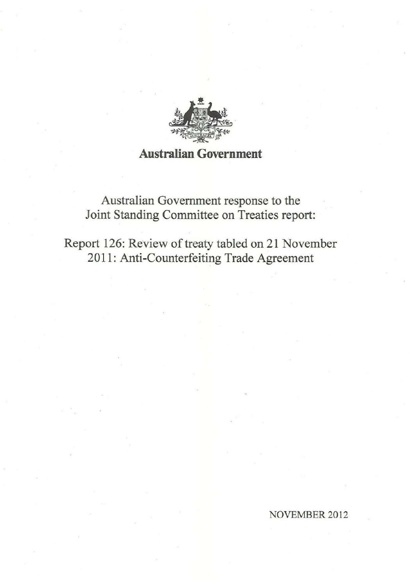

# **Australian Government**

Australian Government response to the Joint Standing Committee on Treaties report:

Report 126: Review of treaty tabled on 21 November 2011: Anti-Counterfeiting Trade Agreement

NOVEMBER 2012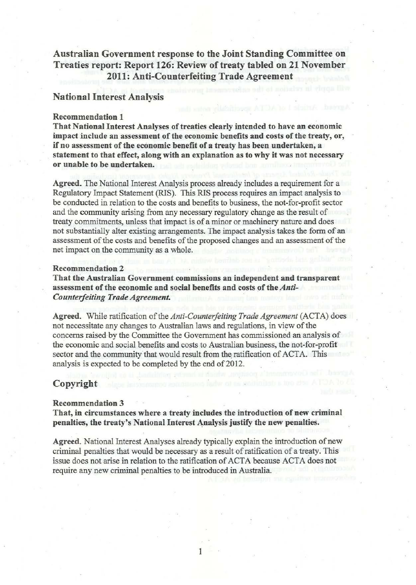# Australian Government response to the Joint Standing Committee on Treaties report: Report 126: Review of treaty tabled on 21 November 2011: Anti-Counterfeiting Trade Agreement

# National Interest Analysis

#### Recommendation 1

That National Interest Analyses of treaties clearly intended to have an economic impact include an assessment of the economic benefits and costs of the treaty, or, if no assessment of the economic benefit of a treaty has been undertaken, a statement to that effect, along with an explanation as to why it was not necessary or unable to be undertaken.

Agreed. The National Interest Analysis process already includes a requirement for a Regulatory Impact Statement (RlS). This RIS process requires an impact analysis to be conducted in relation to the costs and benefits to business, the not-for-profit sector and the community arising from any necessary regulatory change as the result of treaty commitments, unless that impact is of a minor or machinery nature and does not substantially alter existing arrangements. The impact analysis takes the form of an assessment of the costs and benefits of the proposed changes and an assessment of the net impact on the community as a whole.

## Recommendation 2

That the Australian Government commissions an independent and transparent assessment of the economic and social benefits and costs of the *Anti-Counterfeiting Trade Agreement.* 

Agreed. While ratification of the *Anti-Counterfeiting Trade Agreement* (ACTA) does not necessitate any changes to Australian laws and regulations, in view of the concerns raised by the Committee the Government has commissioned an analysis of the economic and social benefits and costs to Australian business, the not-for-profit sector and the community that would result from the ratification of ACTA. This analysis is expected to be completed by the end of 2012.

# Copyright

#### Recommendation 3

That, in circumstances where a treaty includes the introduction of new criminal penalties, the treaty's National Interest Analysis justify the new penalties.

Agreed. National Interest Analyses already typically explain the introduction of new criminal penalties that would be necessary as a result of ratification of a treaty. This issue does not arise in relation to the ratification of ACTA because ACTA does not require any new criminal penalties to be introduced in Australia.

I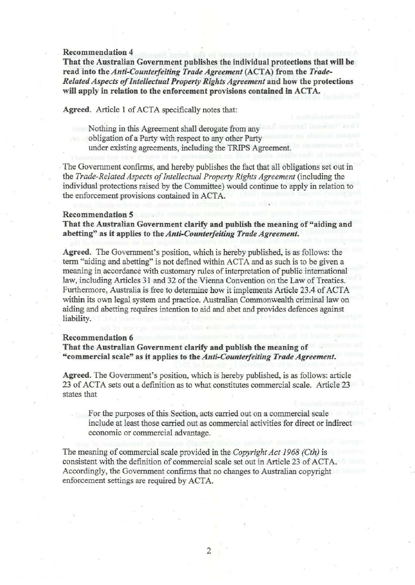## Recommendation 4

That the Australian Government publishes the individual protections that will be read into the *Anti-Counterfeiting Trade Agreement* (ACT A) from the *Trade-Related Aspects of Intellectual Property Rights Agreement* and how the protections will apply in relation to the enforcement provisions contained in ACTA.

Agreed. Article 1 of ACTA specifically notes that:

Nothing in this Agreement shall derogate from any obligation of a Party with respect to any other Party under existing agreements, including the TRIPS Agreement.

The Government confirms, and hereby publishes the fact that all obligations set out in the *Trade-Related Aspects of Intellectual Property Rights Agreement* (including the individual protections raised by the Committee) would continue to apply in relation to the enforcement provisions contained in ACTA.

#### Recommendation 5

That the Australian Government clarify and publish the meaning of "aiding and abetting" as it applies to the *Anti-Counterfeiting Trade Agreement.* 

Agreed. The Government's position, which is hereby published, is as follows: the term "aiding and abetting" is not defined within ACTA and as such is to be given a meaning in accordance with customary rules of interpretation of public international law, including Articles 31 and 32 of the Vienna Convention on the Law of Treaties. Furthermore, Australia is free to determine how it implements Article 23.4.of ACTA within its own legal system and practice. Australian Commonwealth criminal law on aiding and abetting requires intention to aid and abet and provides defences against liability.

#### Recommendation 6

That the Australian Government clarify and publish the meaning of "commercial scale" as it applies to the *Anti-Counterfeiting Trade Agreement.* 

Agreed. The Government's position, which is hereby published, is as follows: article 23 of ACTA sets out a definition as to what constitutes commercial scale. Article 23 states that

For the purposes of this Section, acts carried out on a commercial scale include at least those carried out as commercial activities for direct or indirect economic or commercial advantage.

The meaning of commercial scale provided in the *Copyright Act 1968 (Cth)* is consistent with the definition of commercial scale set out in Article 23 of ACTA. Accordingly, the Government confirms that no changes to Australian copyright enforcement settings are required by ACTA.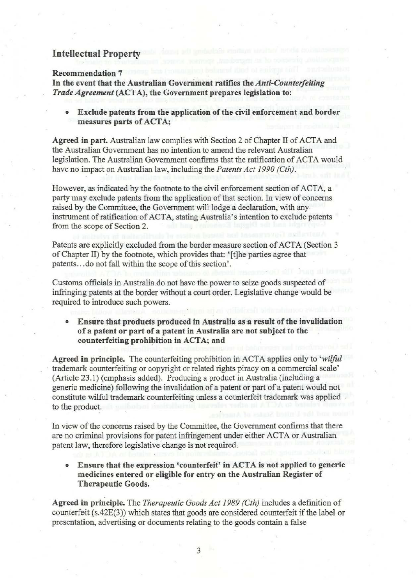# Intellectual Property

## Recommendation 7

In the event that the Australian Government ratifies the *Anti-Counterfeiting Trade Agreement* (ACT A), the Government prepares legislation to:

• Exclude patents from the application of the civil enforcement and border measures parts of ACTA;

Agreed in part. Australian law complies with Section 2 of Chapter II of ACTA and the Australian Government has no intention to amend the relevant Australian legislation. The Australian Government confirms that the ratification of ACTA would have no impact on Australian law, including the *Patents Act 1990 (Cth).* 

However, as indicated by the footnote to the civil enforcement section of ACTA, a party may exclude patents from the application of that section. In view of concerns raised by the Committee, the Government will lodge a declaration, with any instrument of ratification of ACTA, stating Australia's intention to exclude patents from the scope of Section 2.

Patents are explicitly excluded from the border measure section of ACTA (Section 3 of Chapter II) by the footnote, which provides that: '(t]he parties agree that patents ... do not fall within the scope of this section'.

Customs officials in Australia do not have the power to seize goods suspected of infringing patents at the border without a court order. Legislative change would be required to introduce such powers.

Ensure that products produced in Australia as a result of the invalidation of a patent or part of a patent in Australia are not subject to the counterfeiting prohibition in ACTA; and

Agreed in principle. The counterfeiting prohibition in ACTA applies only to 'wilful trademark counterfeiting or copyright or related rights piracy on a commercial scale' (Article 23.1) {emphasis added). Producing a product in Australia (including a generic medicine) following the invalidation. of a patent or part of a patent would not constitute wilful trademark counterfeiting unless a counterfeit trademark was applied . to the product.

In view of the concerns raised by the Committee, the Government confirms that there are no criminal provisions for patent infringement under either ACTA or Australian patent law, therefore legislative change is not required.

• Ensure that the expression 'counterfeit' in ACTA is not applied to generic medicines entered or eligible for entry on the Australian Register of Therapeutic Goods.

Agreed in principle. The *Therapeutic Goods Act 1989 (Cth)* includes a definition of counterfeit (s.42E(3)) which states that goods are considered counterfeit if the label or presentation, advertising or documents relating to the goods contain a false